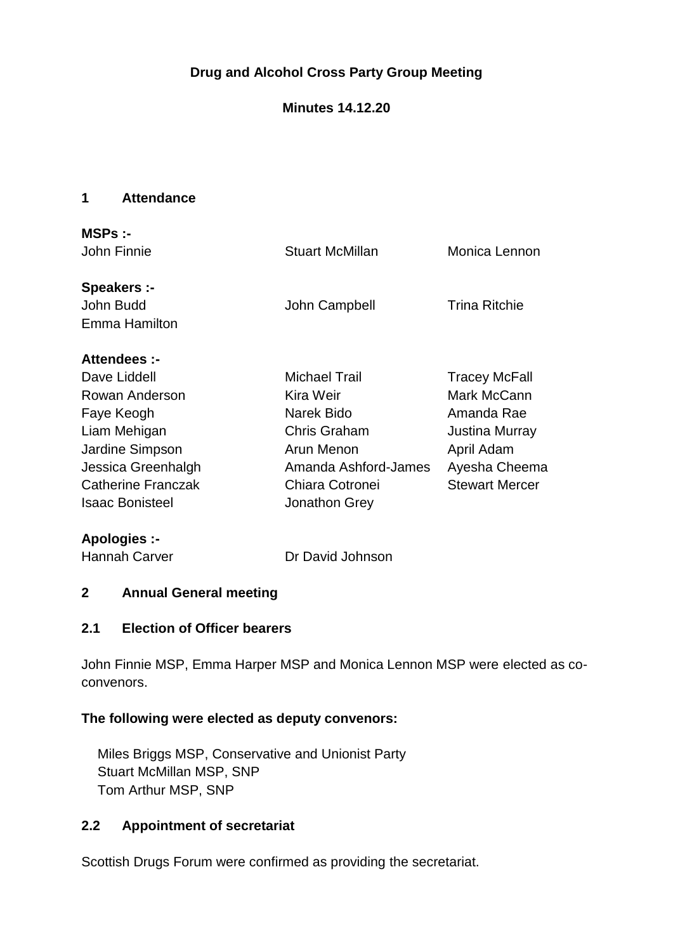# **Drug and Alcohol Cross Party Group Meeting**

## **Minutes 14.12.20**

#### **1 Attendance**

| MSPs:<br>John Finnie                                                                                                                                                  | <b>Stuart McMillan</b>                                                                                                                    | Monica Lennon                                                                                                               |
|-----------------------------------------------------------------------------------------------------------------------------------------------------------------------|-------------------------------------------------------------------------------------------------------------------------------------------|-----------------------------------------------------------------------------------------------------------------------------|
| <b>Speakers:-</b><br>John Budd<br>Emma Hamilton                                                                                                                       | John Campbell                                                                                                                             | <b>Trina Ritchie</b>                                                                                                        |
| Attendees :-<br>Dave Liddell<br>Rowan Anderson<br>Faye Keogh<br>Liam Mehigan<br>Jardine Simpson<br>Jessica Greenhalgh<br>Catherine Franczak<br><b>Isaac Bonisteel</b> | <b>Michael Trail</b><br>Kira Weir<br>Narek Bido<br>Chris Graham<br>Arun Menon<br>Amanda Ashford-James<br>Chiara Cotronei<br>Jonathon Grey | <b>Tracey McFall</b><br>Mark McCann<br>Amanda Rae<br>Justina Murray<br>April Adam<br>Ayesha Cheema<br><b>Stewart Mercer</b> |
|                                                                                                                                                                       |                                                                                                                                           |                                                                                                                             |

**Apologies :-**

Hannah Carver **Dr David Johnson** 

### **2 Annual General meeting**

#### **2.1 Election of Officer bearers**

John Finnie MSP, Emma Harper MSP and Monica Lennon MSP were elected as coconvenors.

#### **The following were elected as deputy convenors:**

Miles Briggs MSP, Conservative and Unionist Party Stuart McMillan MSP, SNP Tom Arthur MSP, SNP

## **2.2 Appointment of secretariat**

Scottish Drugs Forum were confirmed as providing the secretariat.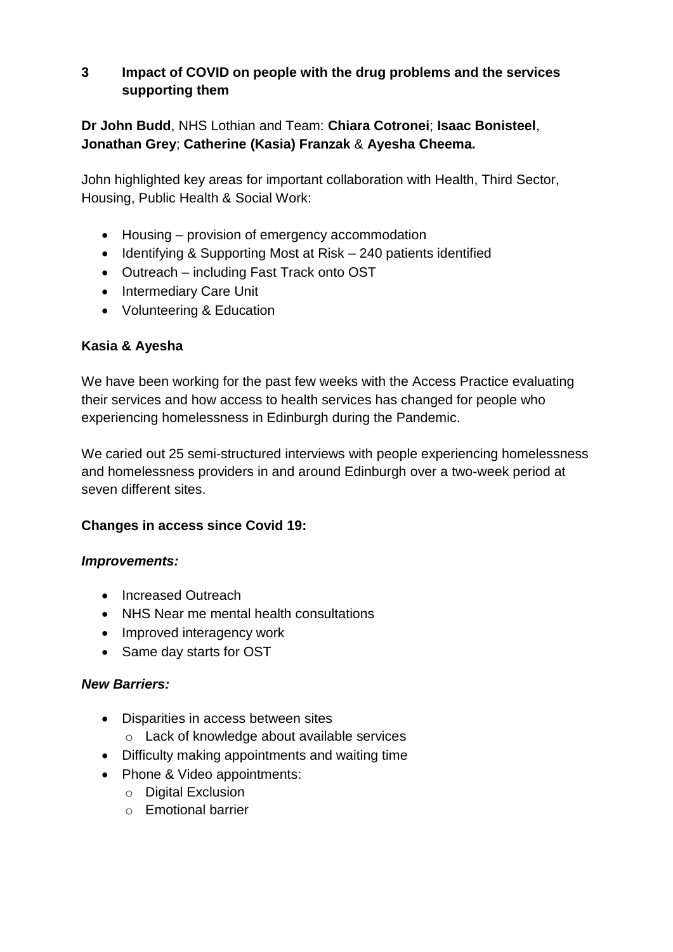### **3 Impact of COVID on people with the drug problems and the services supporting them**

**Dr John Budd**, NHS Lothian and Team: **Chiara Cotronei**; **Isaac Bonisteel**, **Jonathan Grey**; **Catherine (Kasia) Franzak** & **Ayesha Cheema.**

John highlighted key areas for important collaboration with Health, Third Sector, Housing, Public Health & Social Work:

- Housing provision of emergency accommodation
- Identifying & Supporting Most at Risk 240 patients identified
- Outreach including Fast Track onto OST
- Intermediary Care Unit
- Volunteering & Education

### **Kasia & Ayesha**

We have been working for the past few weeks with the Access Practice evaluating their services and how access to health services has changed for people who experiencing homelessness in Edinburgh during the Pandemic.

We caried out 25 semi-structured interviews with people experiencing homelessness and homelessness providers in and around Edinburgh over a two-week period at seven different sites.

### **Changes in access since Covid 19:**

#### *Improvements:*

- Increased Outreach
- NHS Near me mental health consultations
- Improved interagency work
- Same day starts for OST

#### *New Barriers:*

- Disparities in access between sites
	- o Lack of knowledge about available services
- Difficulty making appointments and waiting time
- Phone & Video appointments:
	- o Digital Exclusion
	- o Emotional barrier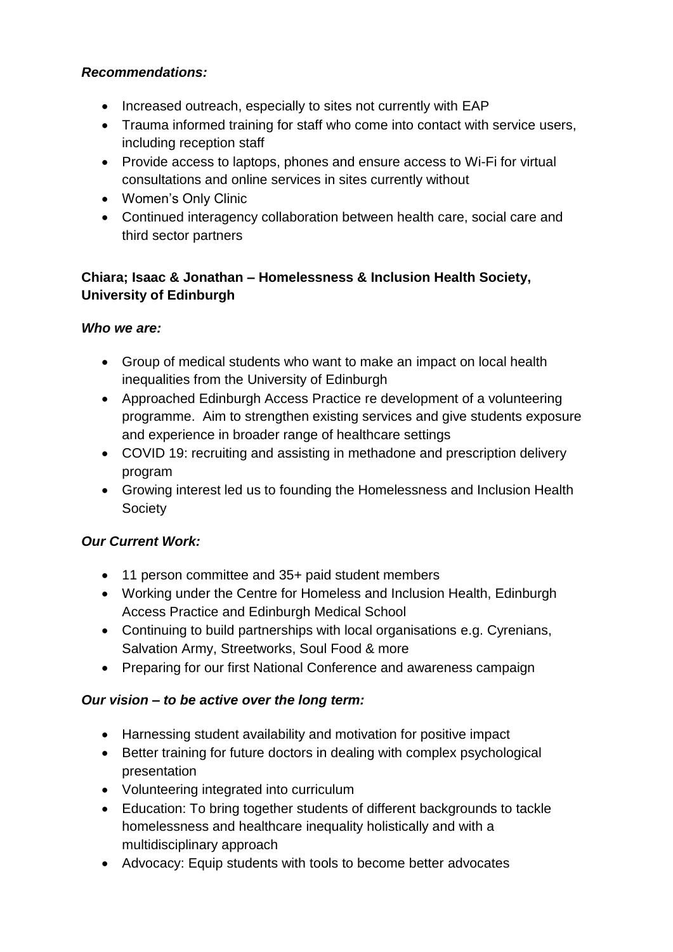## *Recommendations:*

- Increased outreach, especially to sites not currently with EAP
- Trauma informed training for staff who come into contact with service users, including reception staff
- Provide access to laptops, phones and ensure access to Wi-Fi for virtual consultations and online services in sites currently without
- Women's Only Clinic
- Continued interagency collaboration between health care, social care and third sector partners

# **Chiara; Isaac & Jonathan – Homelessness & Inclusion Health Society, University of Edinburgh**

# *Who we are:*

- Group of medical students who want to make an impact on local health inequalities from the University of Edinburgh
- Approached Edinburgh Access Practice re development of a volunteering programme. Aim to strengthen existing services and give students exposure and experience in broader range of healthcare settings
- COVID 19: recruiting and assisting in methadone and prescription delivery program
- Growing interest led us to founding the Homelessness and Inclusion Health Society

# *Our Current Work:*

- 11 person committee and 35+ paid student members
- Working under the Centre for Homeless and Inclusion Health, Edinburgh Access Practice and Edinburgh Medical School
- Continuing to build partnerships with local organisations e.g. Cyrenians, Salvation Army, Streetworks, Soul Food & more
- Preparing for our first National Conference and awareness campaign

# *Our vision – to be active over the long term:*

- Harnessing student availability and motivation for positive impact
- Better training for future doctors in dealing with complex psychological presentation
- Volunteering integrated into curriculum
- Education: To bring together students of different backgrounds to tackle homelessness and healthcare inequality holistically and with a multidisciplinary approach
- Advocacy: Equip students with tools to become better advocates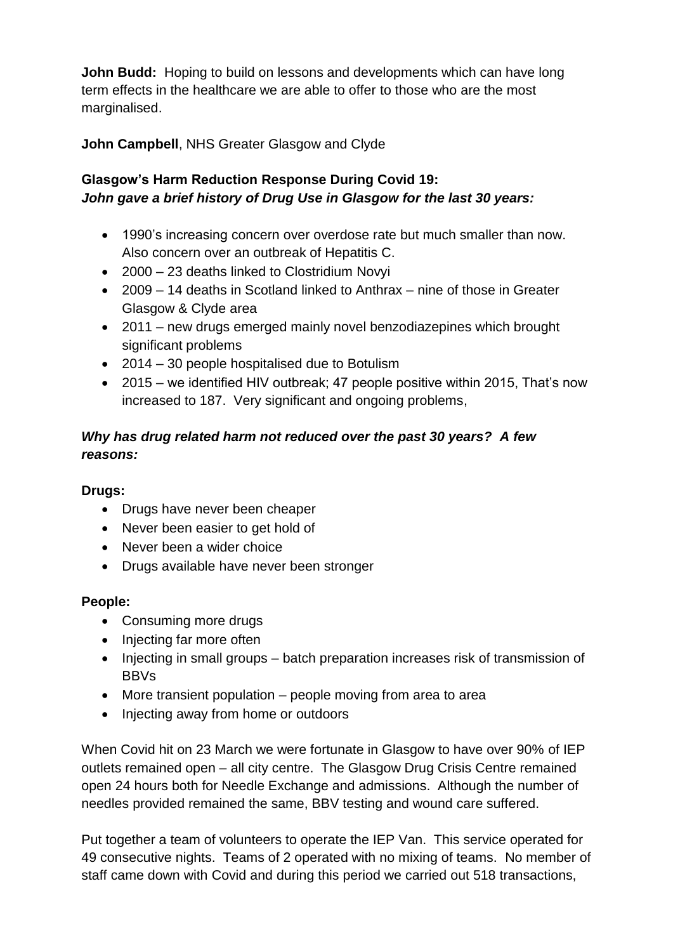**John Budd:** Hoping to build on lessons and developments which can have long term effects in the healthcare we are able to offer to those who are the most marginalised.

**John Campbell**, NHS Greater Glasgow and Clyde

# **Glasgow's Harm Reduction Response During Covid 19:** *John gave a brief history of Drug Use in Glasgow for the last 30 years:*

- 1990's increasing concern over overdose rate but much smaller than now. Also concern over an outbreak of Hepatitis C.
- 2000 23 deaths linked to Clostridium Novyi
- 2009 14 deaths in Scotland linked to Anthrax nine of those in Greater Glasgow & Clyde area
- 2011 new drugs emerged mainly novel benzodiazepines which brought significant problems
- 2014 30 people hospitalised due to Botulism
- 2015 we identified HIV outbreak; 47 people positive within 2015, That's now increased to 187. Very significant and ongoing problems,

# *Why has drug related harm not reduced over the past 30 years? A few reasons:*

# **Drugs:**

- Drugs have never been cheaper
- Never been easier to get hold of
- Never been a wider choice
- Drugs available have never been stronger

# **People:**

- Consuming more drugs
- Injecting far more often
- Injecting in small groups batch preparation increases risk of transmission of BBVs
- More transient population people moving from area to area
- Injecting away from home or outdoors

When Covid hit on 23 March we were fortunate in Glasgow to have over 90% of IEP outlets remained open – all city centre. The Glasgow Drug Crisis Centre remained open 24 hours both for Needle Exchange and admissions. Although the number of needles provided remained the same, BBV testing and wound care suffered.

Put together a team of volunteers to operate the IEP Van. This service operated for 49 consecutive nights. Teams of 2 operated with no mixing of teams. No member of staff came down with Covid and during this period we carried out 518 transactions,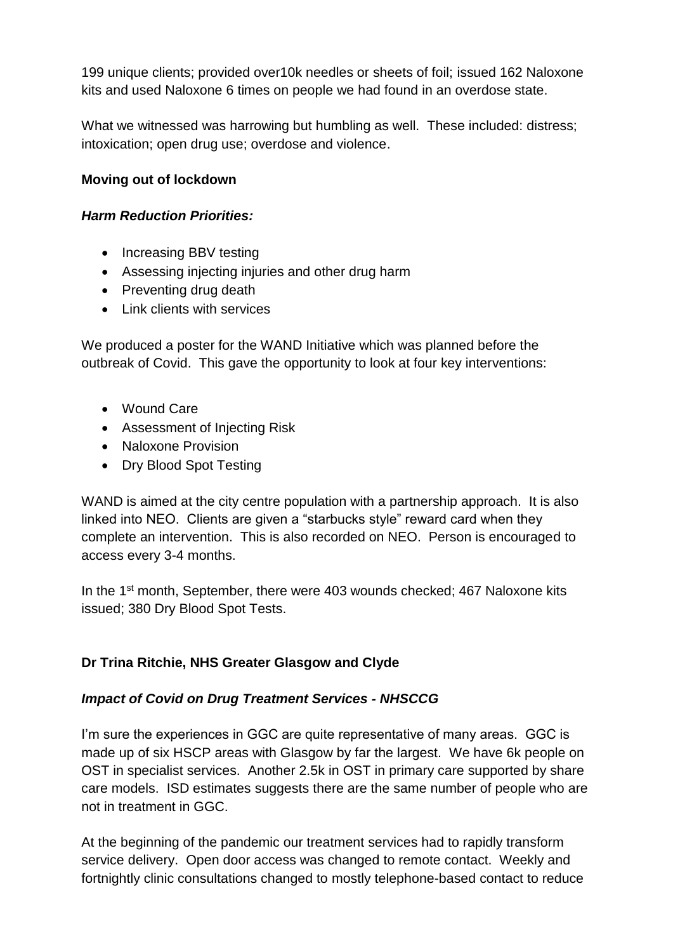199 unique clients; provided over10k needles or sheets of foil; issued 162 Naloxone kits and used Naloxone 6 times on people we had found in an overdose state.

What we witnessed was harrowing but humbling as well. These included: distress; intoxication; open drug use; overdose and violence.

### **Moving out of lockdown**

### *Harm Reduction Priorities:*

- Increasing BBV testing
- Assessing injecting injuries and other drug harm
- Preventing drug death
- Link clients with services

We produced a poster for the WAND Initiative which was planned before the outbreak of Covid. This gave the opportunity to look at four key interventions:

- Wound Care
- Assessment of Injecting Risk
- Naloxone Provision
- Dry Blood Spot Testing

WAND is aimed at the city centre population with a partnership approach. It is also linked into NEO. Clients are given a "starbucks style" reward card when they complete an intervention. This is also recorded on NEO. Person is encouraged to access every 3-4 months.

In the 1<sup>st</sup> month, September, there were 403 wounds checked; 467 Naloxone kits issued; 380 Dry Blood Spot Tests.

# **Dr Trina Ritchie, NHS Greater Glasgow and Clyde**

# *Impact of Covid on Drug Treatment Services - NHSCCG*

I'm sure the experiences in GGC are quite representative of many areas. GGC is made up of six HSCP areas with Glasgow by far the largest. We have 6k people on OST in specialist services. Another 2.5k in OST in primary care supported by share care models. ISD estimates suggests there are the same number of people who are not in treatment in GGC.

At the beginning of the pandemic our treatment services had to rapidly transform service delivery. Open door access was changed to remote contact. Weekly and fortnightly clinic consultations changed to mostly telephone-based contact to reduce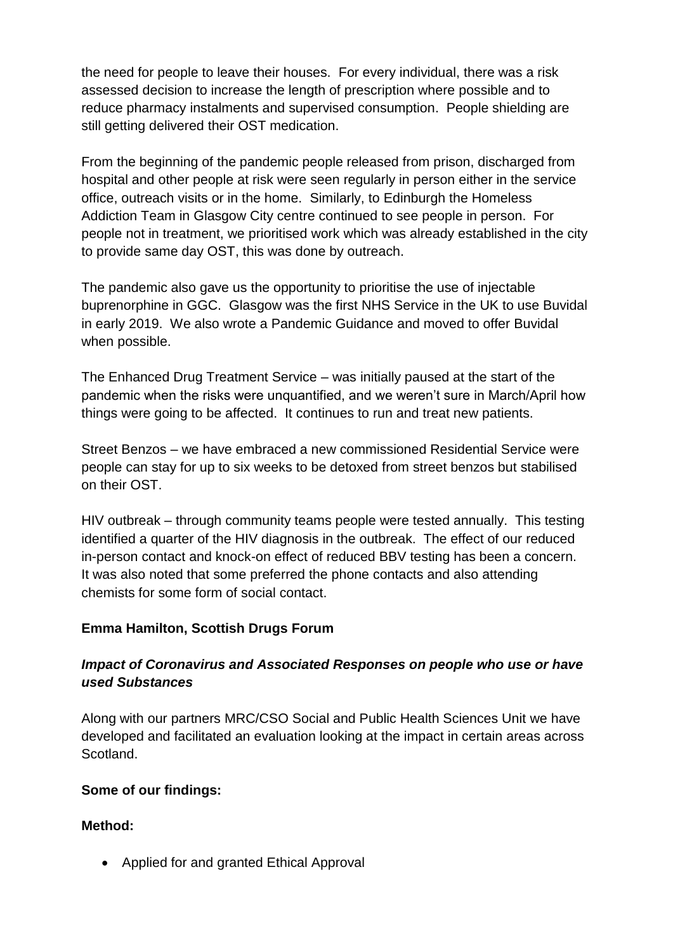the need for people to leave their houses. For every individual, there was a risk assessed decision to increase the length of prescription where possible and to reduce pharmacy instalments and supervised consumption. People shielding are still getting delivered their OST medication.

From the beginning of the pandemic people released from prison, discharged from hospital and other people at risk were seen regularly in person either in the service office, outreach visits or in the home. Similarly, to Edinburgh the Homeless Addiction Team in Glasgow City centre continued to see people in person. For people not in treatment, we prioritised work which was already established in the city to provide same day OST, this was done by outreach.

The pandemic also gave us the opportunity to prioritise the use of injectable buprenorphine in GGC. Glasgow was the first NHS Service in the UK to use Buvidal in early 2019. We also wrote a Pandemic Guidance and moved to offer Buvidal when possible.

The Enhanced Drug Treatment Service – was initially paused at the start of the pandemic when the risks were unquantified, and we weren't sure in March/April how things were going to be affected. It continues to run and treat new patients.

Street Benzos – we have embraced a new commissioned Residential Service were people can stay for up to six weeks to be detoxed from street benzos but stabilised on their OST.

HIV outbreak – through community teams people were tested annually. This testing identified a quarter of the HIV diagnosis in the outbreak. The effect of our reduced in-person contact and knock-on effect of reduced BBV testing has been a concern. It was also noted that some preferred the phone contacts and also attending chemists for some form of social contact.

### **Emma Hamilton, Scottish Drugs Forum**

## *Impact of Coronavirus and Associated Responses on people who use or have used Substances*

Along with our partners MRC/CSO Social and Public Health Sciences Unit we have developed and facilitated an evaluation looking at the impact in certain areas across Scotland.

### **Some of our findings:**

### **Method:**

• Applied for and granted Ethical Approval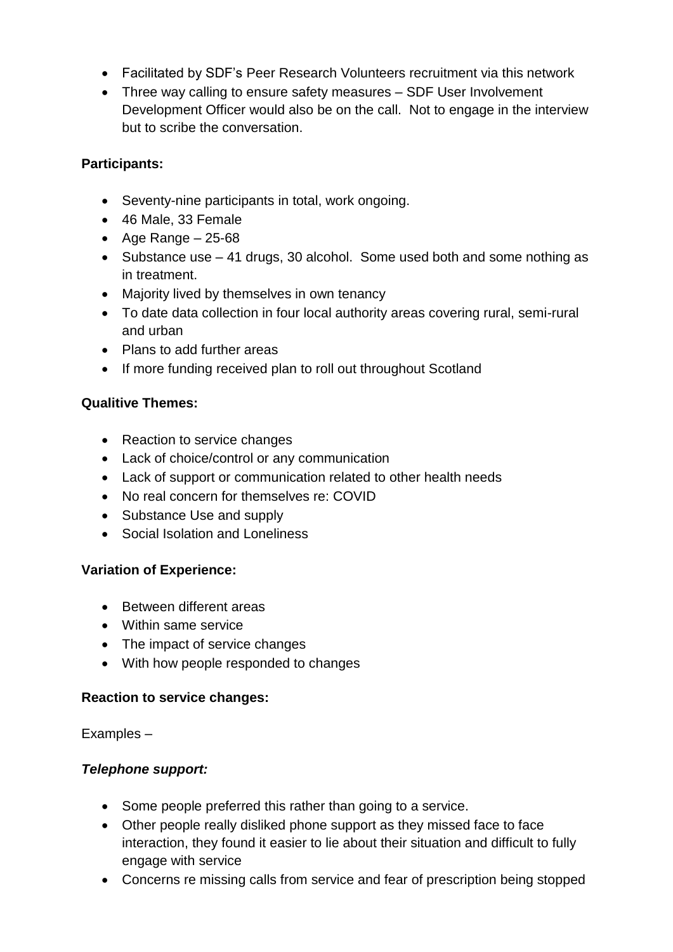- Facilitated by SDF's Peer Research Volunteers recruitment via this network
- Three way calling to ensure safety measures SDF User Involvement Development Officer would also be on the call. Not to engage in the interview but to scribe the conversation.

### **Participants:**

- Seventy-nine participants in total, work ongoing.
- 46 Male, 33 Female
- Age Range  $-25-68$
- Substance use 41 drugs, 30 alcohol. Some used both and some nothing as in treatment.
- Majority lived by themselves in own tenancy
- To date data collection in four local authority areas covering rural, semi-rural and urban
- Plans to add further areas
- If more funding received plan to roll out throughout Scotland

### **Qualitive Themes:**

- Reaction to service changes
- Lack of choice/control or any communication
- Lack of support or communication related to other health needs
- No real concern for themselves re: COVID
- Substance Use and supply
- Social Isolation and Loneliness

### **Variation of Experience:**

- Between different areas
- Within same service
- The impact of service changes
- With how people responded to changes

### **Reaction to service changes:**

Examples –

### *Telephone support:*

- Some people preferred this rather than going to a service.
- Other people really disliked phone support as they missed face to face interaction, they found it easier to lie about their situation and difficult to fully engage with service
- Concerns re missing calls from service and fear of prescription being stopped